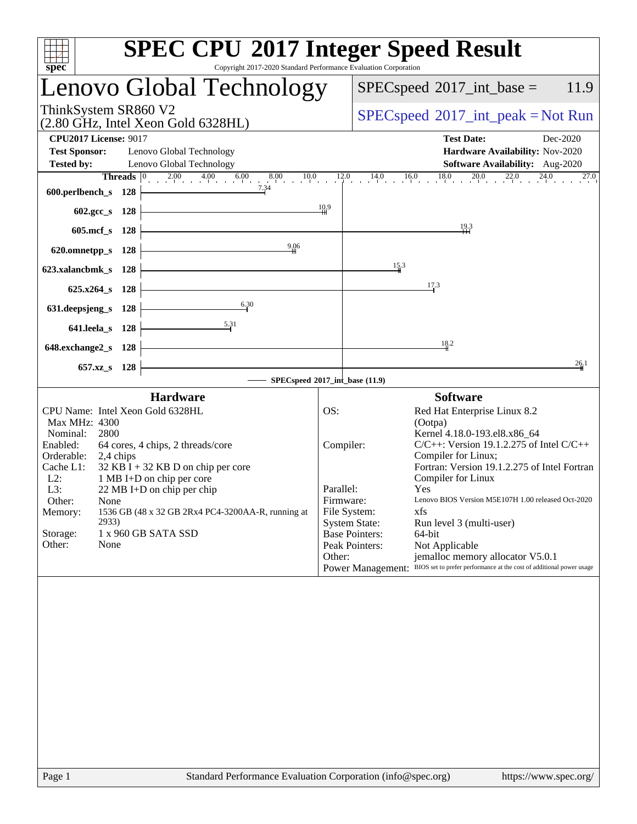| spec <sup>®</sup><br>Copyright 2017-2020 Standard Performance Evaluation Corporation                                                                                                                                                                                                                                                                                                                                                                  | <b>SPEC CPU®2017 Integer Speed Result</b>                                                                                                                                                                                                                                                                                                                                                                                                                                                                                                                                                                                                     |
|-------------------------------------------------------------------------------------------------------------------------------------------------------------------------------------------------------------------------------------------------------------------------------------------------------------------------------------------------------------------------------------------------------------------------------------------------------|-----------------------------------------------------------------------------------------------------------------------------------------------------------------------------------------------------------------------------------------------------------------------------------------------------------------------------------------------------------------------------------------------------------------------------------------------------------------------------------------------------------------------------------------------------------------------------------------------------------------------------------------------|
| <b>Lenovo Global Technology</b>                                                                                                                                                                                                                                                                                                                                                                                                                       | $SPEC speed^{\circ}2017\_int\_base =$<br>11.9                                                                                                                                                                                                                                                                                                                                                                                                                                                                                                                                                                                                 |
| ThinkSystem SR860 V2<br>(2.80 GHz, Intel Xeon Gold 6328HL)                                                                                                                                                                                                                                                                                                                                                                                            | $SPEC speed^{\circ}2017\_int\_peak = Not Run$                                                                                                                                                                                                                                                                                                                                                                                                                                                                                                                                                                                                 |
| <b>CPU2017 License: 9017</b><br><b>Test Sponsor:</b><br>Lenovo Global Technology<br><b>Tested by:</b><br>Lenovo Global Technology                                                                                                                                                                                                                                                                                                                     | <b>Test Date:</b><br>Dec-2020<br>Hardware Availability: Nov-2020<br>Software Availability: Aug-2020                                                                                                                                                                                                                                                                                                                                                                                                                                                                                                                                           |
| <b>Threads</b> $\begin{bmatrix} 0 & 2.00 & 4.00 & 6.00 & 8.00 & 10.0 & 12.0 \\ 1 & 0 & 0 & 0 & 0 & 0 \\ 0 & 0 & 0 & 0 & 0 & 0 \\ 0 & 0 & 0 & 0 & 0 & 0 \\ 0 & 0 & 0 & 0 & 0 & 0 \\ 0 & 0 & 0 & 0 & 0 & 0 \\ 0 & 0 & 0 & 0 & 0 & 0 \\ 0 & 0 & 0 & 0 & 0 & 0 \\ 0 & 0 & 0 & 0 & 0 & 0 \\ 0 & 0 & 0 & 0 & 0 & 0 & 0 \\$<br>7.34<br>600.perlbench_s 128                                                                                                   | 0 14.0 16.0 18.0 20.0 22.0 24.0 27.0<br>27.0                                                                                                                                                                                                                                                                                                                                                                                                                                                                                                                                                                                                  |
| $602 \text{.} \text{gcc}\, \text{s}$ 128<br>605.mcf s 128                                                                                                                                                                                                                                                                                                                                                                                             | $\frac{10.9}{10}$<br>19.3                                                                                                                                                                                                                                                                                                                                                                                                                                                                                                                                                                                                                     |
| 9,06<br>620.omnetpp_s 128<br>623.xalancbmk_s 128                                                                                                                                                                                                                                                                                                                                                                                                      | 15.3                                                                                                                                                                                                                                                                                                                                                                                                                                                                                                                                                                                                                                          |
| 625.x264_s 128<br>6.30                                                                                                                                                                                                                                                                                                                                                                                                                                | 17.3                                                                                                                                                                                                                                                                                                                                                                                                                                                                                                                                                                                                                                          |
| 631.deepsjeng_s 128<br>$\frac{5.31}{4}$<br>641.leela_s 128                                                                                                                                                                                                                                                                                                                                                                                            |                                                                                                                                                                                                                                                                                                                                                                                                                                                                                                                                                                                                                                               |
| 648.exchange2_s 128<br>657.xz_s 128                                                                                                                                                                                                                                                                                                                                                                                                                   | 18.2<br>26.1                                                                                                                                                                                                                                                                                                                                                                                                                                                                                                                                                                                                                                  |
|                                                                                                                                                                                                                                                                                                                                                                                                                                                       | SPECspeed®2017_int_base (11.9)                                                                                                                                                                                                                                                                                                                                                                                                                                                                                                                                                                                                                |
| <b>Hardware</b><br>CPU Name: Intel Xeon Gold 6328HL<br>Max MHz: 4300<br>2800<br>Nominal:<br>Enabled:<br>64 cores, 4 chips, 2 threads/core<br>Orderable:<br>2,4 chips<br>$32$ KB I + 32 KB D on chip per core<br>Cache L1:<br>$L2$ :<br>1 MB I+D on chip per core<br>L3:<br>22 MB I+D on chip per chip<br>Other:<br>None<br>1536 GB (48 x 32 GB 2Rx4 PC4-3200AA-R, running at<br>Memory:<br>2933)<br>1 x 960 GB SATA SSD<br>Storage:<br>Other:<br>None | <b>Software</b><br>OS:<br>Red Hat Enterprise Linux 8.2<br>(Ootpa)<br>Kernel 4.18.0-193.el8.x86_64<br>$C/C++$ : Version 19.1.2.275 of Intel $C/C++$<br>Compiler:<br>Compiler for Linux;<br>Fortran: Version 19.1.2.275 of Intel Fortran<br>Compiler for Linux<br>Parallel:<br>Yes<br>Lenovo BIOS Version M5E107H 1.00 released Oct-2020<br>Firmware:<br>File System:<br>xfs<br><b>System State:</b><br>Run level 3 (multi-user)<br><b>Base Pointers:</b><br>64-bit<br>Peak Pointers:<br>Not Applicable<br>Other:<br>jemalloc memory allocator V5.0.1<br>Power Management: BIOS set to prefer performance at the cost of additional power usage |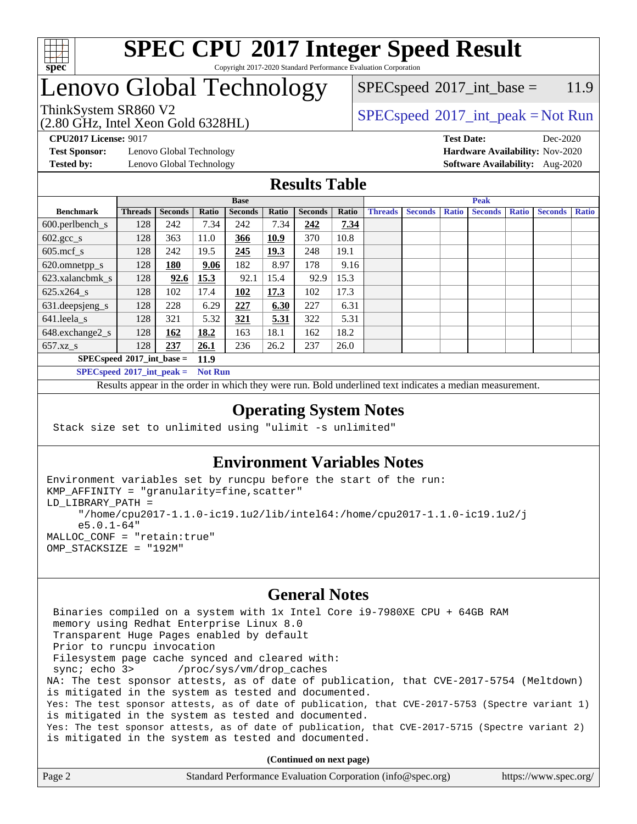

Copyright 2017-2020 Standard Performance Evaluation Corporation

# Lenovo Global Technology

(2.80 GHz, Intel Xeon Gold 6328HL)

 $SPEC speed^{\circ}2017\_int\_base = 11.9$ 

### ThinkSystem SR860 V2<br>  $\begin{array}{c}\n\text{SPEC speed} \text{°2017\_int\_peak} = \text{Not Run} \\
\text{SPEC speed} \text{°2017\_int\_peak} = \text{Not Run} \\
\end{array}$

**[CPU2017 License:](http://www.spec.org/auto/cpu2017/Docs/result-fields.html#CPU2017License)** 9017 **[Test Date:](http://www.spec.org/auto/cpu2017/Docs/result-fields.html#TestDate)** Dec-2020

**[Test Sponsor:](http://www.spec.org/auto/cpu2017/Docs/result-fields.html#TestSponsor)** Lenovo Global Technology **[Hardware Availability:](http://www.spec.org/auto/cpu2017/Docs/result-fields.html#HardwareAvailability)** Nov-2020

**[Tested by:](http://www.spec.org/auto/cpu2017/Docs/result-fields.html#Testedby)** Lenovo Global Technology **[Software Availability:](http://www.spec.org/auto/cpu2017/Docs/result-fields.html#SoftwareAvailability)** Aug-2020

### **[Results Table](http://www.spec.org/auto/cpu2017/Docs/result-fields.html#ResultsTable)**

|                                     | <b>Base</b>    |                |       |                | <b>Peak</b> |                |       |                |                |              |                |              |                |              |
|-------------------------------------|----------------|----------------|-------|----------------|-------------|----------------|-------|----------------|----------------|--------------|----------------|--------------|----------------|--------------|
| <b>Benchmark</b>                    | <b>Threads</b> | <b>Seconds</b> | Ratio | <b>Seconds</b> | Ratio       | <b>Seconds</b> | Ratio | <b>Threads</b> | <b>Seconds</b> | <b>Ratio</b> | <b>Seconds</b> | <b>Ratio</b> | <b>Seconds</b> | <b>Ratio</b> |
| $600.$ perlbench_s                  | 128            | 242            | 7.34  | 242            | 7.34        | 242            | 7.34  |                |                |              |                |              |                |              |
| $602.\text{gcc}\_\text{s}$          | 128            | 363            | 11.0  | 366            | 10.9        | 370            | 10.8  |                |                |              |                |              |                |              |
| $605$ .mcf s                        | 128            | 242            | 19.5  | 245            | 19.3        | 248            | 19.1  |                |                |              |                |              |                |              |
| 620.omnetpp_s                       | 128            | 180            | 9.06  | 182            | 8.97        | 178            | 9.16  |                |                |              |                |              |                |              |
| 623.xalancbmk s                     | 128            | 92.6           | 15.3  | 92.1           | 15.4        | 92.9           | 15.3  |                |                |              |                |              |                |              |
| $625.x264$ s                        | 128            | 102            | 17.4  | 102            | 17.3        | 102            | 17.3  |                |                |              |                |              |                |              |
| 631.deepsjeng_s                     | 128            | 228            | 6.29  | 227            | 6.30        | 227            | 6.31  |                |                |              |                |              |                |              |
| 641.leela s                         | 128            | 321            | 5.32  | 321            | 5.31        | 322            | 5.31  |                |                |              |                |              |                |              |
| 648.exchange2_s                     | 128            | 162            | 18.2  | 163            | 18.1        | 162            | 18.2  |                |                |              |                |              |                |              |
| $657.xz$ s                          | 128            | 237            | 26.1  | 236            | 26.2        | 237            | 26.0  |                |                |              |                |              |                |              |
| $SPECspeed*2017$ int base =<br>11.9 |                |                |       |                |             |                |       |                |                |              |                |              |                |              |

**[SPECspeed](http://www.spec.org/auto/cpu2017/Docs/result-fields.html#SPECspeed2017intpeak)[2017\\_int\\_peak =](http://www.spec.org/auto/cpu2017/Docs/result-fields.html#SPECspeed2017intpeak) Not Run**

Results appear in the [order in which they were run.](http://www.spec.org/auto/cpu2017/Docs/result-fields.html#RunOrder) Bold underlined text [indicates a median measurement.](http://www.spec.org/auto/cpu2017/Docs/result-fields.html#Median)

#### **[Operating System Notes](http://www.spec.org/auto/cpu2017/Docs/result-fields.html#OperatingSystemNotes)**

Stack size set to unlimited using "ulimit -s unlimited"

### **[Environment Variables Notes](http://www.spec.org/auto/cpu2017/Docs/result-fields.html#EnvironmentVariablesNotes)**

```
Environment variables set by runcpu before the start of the run:
KMP_AFFINITY = "granularity=fine,scatter"
LD_LIBRARY_PATH =
      "/home/cpu2017-1.1.0-ic19.1u2/lib/intel64:/home/cpu2017-1.1.0-ic19.1u2/j
      e5.0.1-64"
MALLOC_CONF = "retain:true"
OMP_STACKSIZE = "192M"
```
#### **[General Notes](http://www.spec.org/auto/cpu2017/Docs/result-fields.html#GeneralNotes)**

 Binaries compiled on a system with 1x Intel Core i9-7980XE CPU + 64GB RAM memory using Redhat Enterprise Linux 8.0 Transparent Huge Pages enabled by default Prior to runcpu invocation Filesystem page cache synced and cleared with: sync; echo 3> /proc/sys/vm/drop\_caches NA: The test sponsor attests, as of date of publication, that CVE-2017-5754 (Meltdown) is mitigated in the system as tested and documented. Yes: The test sponsor attests, as of date of publication, that CVE-2017-5753 (Spectre variant 1) is mitigated in the system as tested and documented. Yes: The test sponsor attests, as of date of publication, that CVE-2017-5715 (Spectre variant 2) is mitigated in the system as tested and documented.

**(Continued on next page)**

| Page 2 | Standard Performance Evaluation Corporation (info@spec.org) | https://www.spec.org/ |
|--------|-------------------------------------------------------------|-----------------------|
|--------|-------------------------------------------------------------|-----------------------|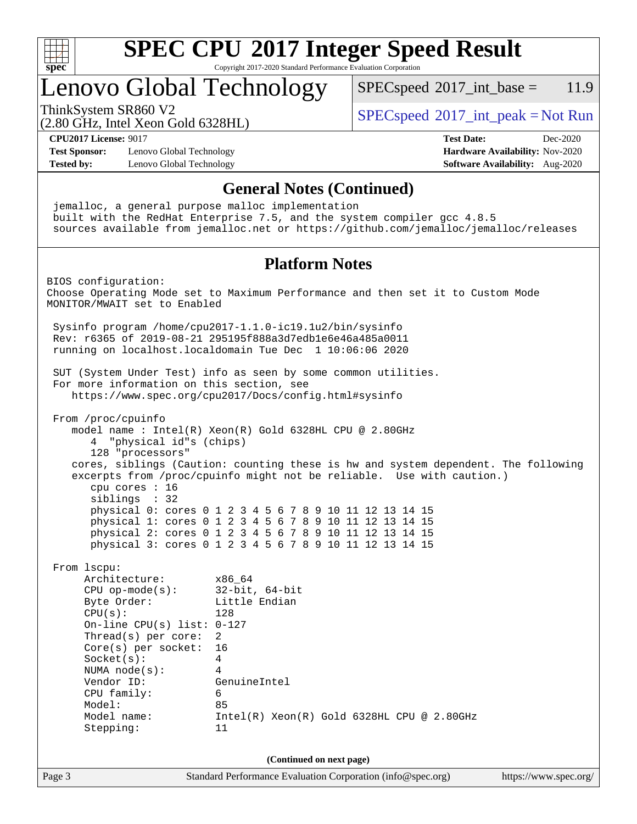

Copyright 2017-2020 Standard Performance Evaluation Corporation

# Lenovo Global Technology

 $SPECspeed^{\circ}2017\_int\_base = 11.9$  $SPECspeed^{\circ}2017\_int\_base = 11.9$ 

(2.80 GHz, Intel Xeon Gold 6328HL)

ThinkSystem SR860 V2<br>  $\begin{array}{c} \text{SPEC speed} \textdegree 2017\_int\_peak = Not Run \end{array}$ 

**[CPU2017 License:](http://www.spec.org/auto/cpu2017/Docs/result-fields.html#CPU2017License)** 9017 **[Test Date:](http://www.spec.org/auto/cpu2017/Docs/result-fields.html#TestDate)** Dec-2020

**[Test Sponsor:](http://www.spec.org/auto/cpu2017/Docs/result-fields.html#TestSponsor)** Lenovo Global Technology **[Hardware Availability:](http://www.spec.org/auto/cpu2017/Docs/result-fields.html#HardwareAvailability)** Nov-2020 **[Tested by:](http://www.spec.org/auto/cpu2017/Docs/result-fields.html#Testedby)** Lenovo Global Technology **[Software Availability:](http://www.spec.org/auto/cpu2017/Docs/result-fields.html#SoftwareAvailability)** Aug-2020

**[General Notes \(Continued\)](http://www.spec.org/auto/cpu2017/Docs/result-fields.html#GeneralNotes)** jemalloc, a general purpose malloc implementation built with the RedHat Enterprise 7.5, and the system compiler gcc 4.8.5 sources available from jemalloc.net or <https://github.com/jemalloc/jemalloc/releases> **[Platform Notes](http://www.spec.org/auto/cpu2017/Docs/result-fields.html#PlatformNotes)** BIOS configuration: Choose Operating Mode set to Maximum Performance and then set it to Custom Mode MONITOR/MWAIT set to Enabled Sysinfo program /home/cpu2017-1.1.0-ic19.1u2/bin/sysinfo Rev: r6365 of 2019-08-21 295195f888a3d7edb1e6e46a485a0011 running on localhost.localdomain Tue Dec 1 10:06:06 2020 SUT (System Under Test) info as seen by some common utilities. For more information on this section, see <https://www.spec.org/cpu2017/Docs/config.html#sysinfo> From /proc/cpuinfo model name : Intel(R) Xeon(R) Gold 6328HL CPU @ 2.80GHz 4 "physical id"s (chips) 128 "processors" cores, siblings (Caution: counting these is hw and system dependent. The following excerpts from /proc/cpuinfo might not be reliable. Use with caution.) cpu cores : 16 siblings : 32 physical 0: cores 0 1 2 3 4 5 6 7 8 9 10 11 12 13 14 15 physical 1: cores 0 1 2 3 4 5 6 7 8 9 10 11 12 13 14 15 physical 2: cores 0 1 2 3 4 5 6 7 8 9 10 11 12 13 14 15 physical 3: cores 0 1 2 3 4 5 6 7 8 9 10 11 12 13 14 15 From lscpu: Architecture: x86\_64 CPU op-mode(s): 32-bit, 64-bit Byte Order: Little Endian CPU(s): 128 On-line CPU(s) list: 0-127 Thread(s) per core: 2 Core(s) per socket: 16 Socket(s): 4 NUMA node(s): 4 Vendor ID: GenuineIntel CPU family: 6 Model: 85 Model name: Intel(R) Xeon(R) Gold 6328HL CPU @ 2.80GHz Stepping: 11 **(Continued on next page)**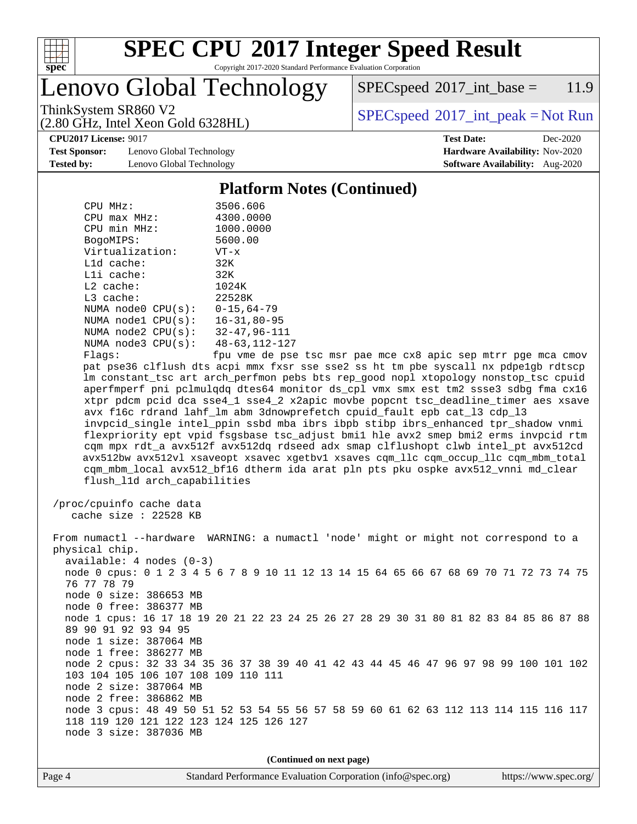

Copyright 2017-2020 Standard Performance Evaluation Corporation

Lenovo Global Technology

 $SPEC speed^{\circ}2017\_int\_base = 11.9$ 

(2.80 GHz, Intel Xeon Gold 6328HL)

ThinkSystem SR860 V2<br>  $\begin{array}{c} \text{SPEC speed} \textdegree 2017\_int\_peak = Not Run \end{array}$ 

**[Test Sponsor:](http://www.spec.org/auto/cpu2017/Docs/result-fields.html#TestSponsor)** Lenovo Global Technology **[Hardware Availability:](http://www.spec.org/auto/cpu2017/Docs/result-fields.html#HardwareAvailability)** Nov-2020 **[Tested by:](http://www.spec.org/auto/cpu2017/Docs/result-fields.html#Testedby)** Lenovo Global Technology **[Software Availability:](http://www.spec.org/auto/cpu2017/Docs/result-fields.html#SoftwareAvailability)** Aug-2020

**[CPU2017 License:](http://www.spec.org/auto/cpu2017/Docs/result-fields.html#CPU2017License)** 9017 **[Test Date:](http://www.spec.org/auto/cpu2017/Docs/result-fields.html#TestDate)** Dec-2020

### **[Platform Notes \(Continued\)](http://www.spec.org/auto/cpu2017/Docs/result-fields.html#PlatformNotes)**

| $CPU MHz$ :        | 3506.606             |
|--------------------|----------------------|
| $CPU$ max $MHz$ :  | 4300.0000            |
| CPU min MHz:       | 1000.0000            |
| BogoMIPS:          | 5600.00              |
| Virtualization:    | $VT - x$             |
| L1d cache:         | 32K                  |
| Lli cache:         | 32K                  |
| $L2$ cache:        | 1024K                |
| $L3$ cache:        | 22528K               |
| NUMA node0 CPU(s): | $0 - 15.64 - 79$     |
| NUMA nodel CPU(s): | $16 - 31.80 - 95$    |
| NUMA node2 CPU(s): | $32 - 47, 96 - 111$  |
| NUMA node3 CPU(s): | $48 - 63, 112 - 127$ |
| Flags:             | fnu vme de nse       |

Flags: fpu vme de pse tsc msr pae mce cx8 apic sep mtrr pge mca cmov pat pse36 clflush dts acpi mmx fxsr sse sse2 ss ht tm pbe syscall nx pdpe1gb rdtscp lm constant\_tsc art arch\_perfmon pebs bts rep\_good nopl xtopology nonstop\_tsc cpuid aperfmperf pni pclmulqdq dtes64 monitor ds\_cpl vmx smx est tm2 ssse3 sdbg fma cx16 xtpr pdcm pcid dca sse4\_1 sse4\_2 x2apic movbe popcnt tsc\_deadline\_timer aes xsave avx f16c rdrand lahf\_lm abm 3dnowprefetch cpuid\_fault epb cat\_l3 cdp\_l3 invpcid\_single intel\_ppin ssbd mba ibrs ibpb stibp ibrs\_enhanced tpr\_shadow vnmi flexpriority ept vpid fsgsbase tsc\_adjust bmi1 hle avx2 smep bmi2 erms invpcid rtm cqm mpx rdt\_a avx512f avx512dq rdseed adx smap clflushopt clwb intel\_pt avx512cd avx512bw avx512vl xsaveopt xsavec xgetbv1 xsaves cqm\_llc cqm\_occup\_llc cqm\_mbm\_total cqm\_mbm\_local avx512\_bf16 dtherm ida arat pln pts pku ospke avx512\_vnni md\_clear flush\_l1d arch\_capabilities

 /proc/cpuinfo cache data cache size : 22528 KB

 From numactl --hardware WARNING: a numactl 'node' might or might not correspond to a physical chip. available: 4 nodes (0-3) node 0 cpus: 0 1 2 3 4 5 6 7 8 9 10 11 12 13 14 15 64 65 66 67 68 69 70 71 72 73 74 75 76 77 78 79 node 0 size: 386653 MB node 0 free: 386377 MB node 1 cpus: 16 17 18 19 20 21 22 23 24 25 26 27 28 29 30 31 80 81 82 83 84 85 86 87 88 89 90 91 92 93 94 95 node 1 size: 387064 MB node 1 free: 386277 MB node 2 cpus: 32 33 34 35 36 37 38 39 40 41 42 43 44 45 46 47 96 97 98 99 100 101 102 103 104 105 106 107 108 109 110 111 node 2 size: 387064 MB node 2 free: 386862 MB node 3 cpus: 48 49 50 51 52 53 54 55 56 57 58 59 60 61 62 63 112 113 114 115 116 117 118 119 120 121 122 123 124 125 126 127 node 3 size: 387036 MB

**(Continued on next page)**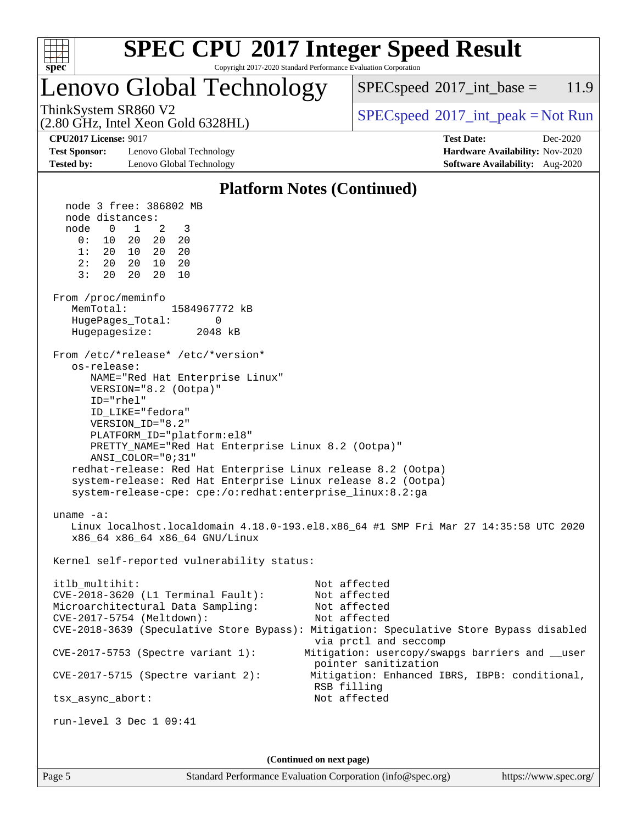

Copyright 2017-2020 Standard Performance Evaluation Corporation

### Lenovo Global Technology

 $SPECspeed^{\circ}2017\_int\_base = 11.9$  $SPECspeed^{\circ}2017\_int\_base = 11.9$ 

(2.80 GHz, Intel Xeon Gold 6328HL)

ThinkSystem SR860 V2<br>  $\begin{array}{c}\n\text{SPEC speed} \text{°2017\_int\_peak} = \text{Not Run} \\
\text{SPEC speed} \text{°2017\_int\_peak} = \text{Not Run} \\
\end{array}$ 

**[Test Sponsor:](http://www.spec.org/auto/cpu2017/Docs/result-fields.html#TestSponsor)** Lenovo Global Technology **[Hardware Availability:](http://www.spec.org/auto/cpu2017/Docs/result-fields.html#HardwareAvailability)** Nov-2020 **[Tested by:](http://www.spec.org/auto/cpu2017/Docs/result-fields.html#Testedby)** Lenovo Global Technology **[Software Availability:](http://www.spec.org/auto/cpu2017/Docs/result-fields.html#SoftwareAvailability)** Aug-2020

**[CPU2017 License:](http://www.spec.org/auto/cpu2017/Docs/result-fields.html#CPU2017License)** 9017 **[Test Date:](http://www.spec.org/auto/cpu2017/Docs/result-fields.html#TestDate)** Dec-2020

### **[Platform Notes \(Continued\)](http://www.spec.org/auto/cpu2017/Docs/result-fields.html#PlatformNotes)**

 node 3 free: 386802 MB node distances: node 0 1 2 3 0: 10 20 20 20 1: 20 10 20 20 2: 20 20 10 20 3: 20 20 20 10 From /proc/meminfo MemTotal: 1584967772 kB HugePages\_Total: 0 Hugepagesize: 2048 kB From /etc/\*release\* /etc/\*version\* os-release: NAME="Red Hat Enterprise Linux" VERSION="8.2 (Ootpa)" ID="rhel" ID\_LIKE="fedora" VERSION\_ID="8.2" PLATFORM\_ID="platform:el8" PRETTY\_NAME="Red Hat Enterprise Linux 8.2 (Ootpa)" ANSI\_COLOR="0;31" redhat-release: Red Hat Enterprise Linux release 8.2 (Ootpa) system-release: Red Hat Enterprise Linux release 8.2 (Ootpa) system-release-cpe: cpe:/o:redhat:enterprise\_linux:8.2:ga uname -a: Linux localhost.localdomain 4.18.0-193.el8.x86\_64 #1 SMP Fri Mar 27 14:35:58 UTC 2020 x86\_64 x86\_64 x86\_64 GNU/Linux Kernel self-reported vulnerability status: itlb\_multihit: Not affected CVE-2018-3620 (L1 Terminal Fault): Not affected Microarchitectural Data Sampling: Not affected CVE-2017-5754 (Meltdown): Not affected CVE-2018-3639 (Speculative Store Bypass): Mitigation: Speculative Store Bypass disabled via prctl and seccomp CVE-2017-5753 (Spectre variant 1): Mitigation: usercopy/swapgs barriers and \_\_user pointer sanitization CVE-2017-5715 (Spectre variant 2): Mitigation: Enhanced IBRS, IBPB: conditional, RSB filling tsx\_async\_abort: Not affected run-level 3 Dec 1 09:41 **(Continued on next page)**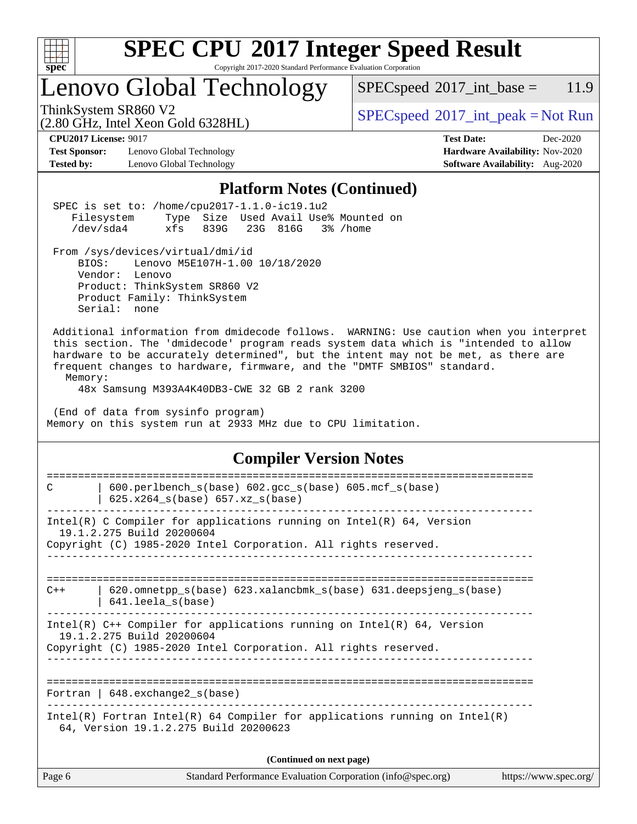

Copyright 2017-2020 Standard Performance Evaluation Corporation

# Lenovo Global Technology

 $SPECspeed^{\circ}2017\_int\_base = 11.9$  $SPECspeed^{\circ}2017\_int\_base = 11.9$ 

(2.80 GHz, Intel Xeon Gold 6328HL)

ThinkSystem SR860 V2<br>  $(2.80 \text{ GHz, Intel Yoon Gold } 6328 \text{ HI})$  [SPECspeed](http://www.spec.org/auto/cpu2017/Docs/result-fields.html#SPECspeed2017intpeak)<sup>®</sup>[2017\\_int\\_peak = N](http://www.spec.org/auto/cpu2017/Docs/result-fields.html#SPECspeed2017intpeak)ot Run

**[Test Sponsor:](http://www.spec.org/auto/cpu2017/Docs/result-fields.html#TestSponsor)** Lenovo Global Technology **[Hardware Availability:](http://www.spec.org/auto/cpu2017/Docs/result-fields.html#HardwareAvailability)** Nov-2020 **[Tested by:](http://www.spec.org/auto/cpu2017/Docs/result-fields.html#Testedby)** Lenovo Global Technology **[Software Availability:](http://www.spec.org/auto/cpu2017/Docs/result-fields.html#SoftwareAvailability)** Aug-2020

**[CPU2017 License:](http://www.spec.org/auto/cpu2017/Docs/result-fields.html#CPU2017License)** 9017 **[Test Date:](http://www.spec.org/auto/cpu2017/Docs/result-fields.html#TestDate)** Dec-2020

#### **[Platform Notes \(Continued\)](http://www.spec.org/auto/cpu2017/Docs/result-fields.html#PlatformNotes)**

| r iación in Fiocco (Continueu)                                                                                                                                                                                                                                                                                                                                                                              |  |  |  |  |  |
|-------------------------------------------------------------------------------------------------------------------------------------------------------------------------------------------------------------------------------------------------------------------------------------------------------------------------------------------------------------------------------------------------------------|--|--|--|--|--|
| SPEC is set to: /home/cpu2017-1.1.0-ic19.1u2<br>Filesystem<br>Type Size Used Avail Use% Mounted on<br>/dev/sda4<br>xfs<br>839G<br>23G 816G<br>3% /home                                                                                                                                                                                                                                                      |  |  |  |  |  |
| From /sys/devices/virtual/dmi/id<br>Lenovo M5E107H-1.00 10/18/2020<br>BIOS:<br>Vendor: Lenovo<br>Product: ThinkSystem SR860 V2<br>Product Family: ThinkSystem<br>Serial: none                                                                                                                                                                                                                               |  |  |  |  |  |
| Additional information from dmidecode follows. WARNING: Use caution when you interpret<br>this section. The 'dmidecode' program reads system data which is "intended to allow<br>hardware to be accurately determined", but the intent may not be met, as there are<br>frequent changes to hardware, firmware, and the "DMTF SMBIOS" standard.<br>Memory:<br>48x Samsung M393A4K40DB3-CWE 32 GB 2 rank 3200 |  |  |  |  |  |
| (End of data from sysinfo program)<br>Memory on this system run at 2933 MHz due to CPU limitation.                                                                                                                                                                                                                                                                                                          |  |  |  |  |  |
| <b>Compiler Version Notes</b>                                                                                                                                                                                                                                                                                                                                                                               |  |  |  |  |  |
| ---------------------------<br>------------<br>600.perlbench_s(base) 602.gcc_s(base) 605.mcf_s(base)<br>C<br>$625.x264_s(base) 657.xz_s(base)$                                                                                                                                                                                                                                                              |  |  |  |  |  |
| Intel(R) C Compiler for applications running on $Intel(R) 64$ , Version<br>19.1.2.275 Build 20200604<br>Copyright (C) 1985-2020 Intel Corporation. All rights reserved.                                                                                                                                                                                                                                     |  |  |  |  |  |
| 620.omnetpp_s(base) 623.xalancbmk_s(base) 631.deepsjeng_s(base)<br>$C++$<br>641.leela_s(base)                                                                                                                                                                                                                                                                                                               |  |  |  |  |  |
| Intel(R) $C++$ Compiler for applications running on Intel(R) 64, Version<br>19.1.2.275 Build 20200604<br>Copyright (C) 1985-2020 Intel Corporation. All rights reserved.                                                                                                                                                                                                                                    |  |  |  |  |  |
| Fortran   $648$ . exchange2 $s(base)$                                                                                                                                                                                                                                                                                                                                                                       |  |  |  |  |  |
| $Intel(R)$ Fortran Intel(R) 64 Compiler for applications running on Intel(R)<br>64, Version 19.1.2.275 Build 20200623                                                                                                                                                                                                                                                                                       |  |  |  |  |  |
| (Continued on next page)                                                                                                                                                                                                                                                                                                                                                                                    |  |  |  |  |  |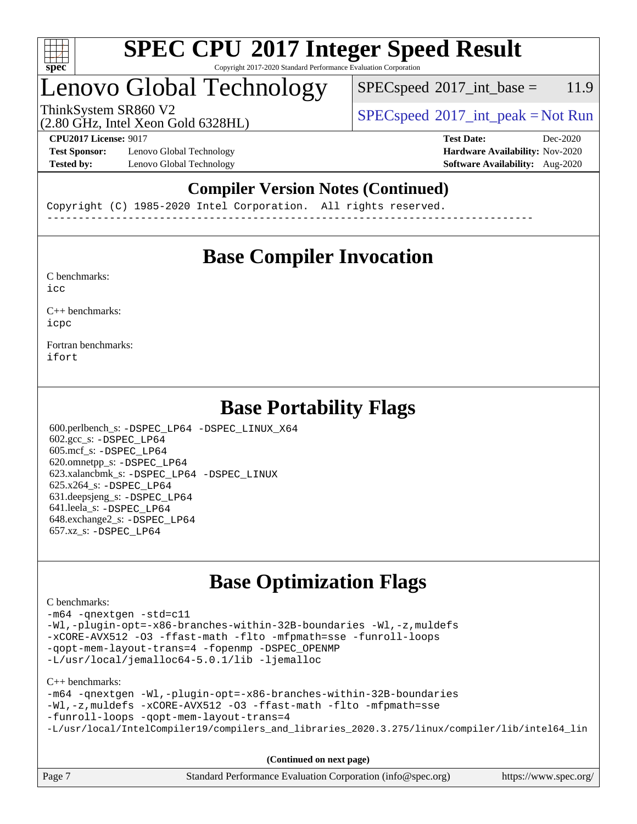

#### **[SPEC CPU](http://www.spec.org/auto/cpu2017/Docs/result-fields.html#SPECCPU2017IntegerSpeedResult)[2017 Integer Speed Result](http://www.spec.org/auto/cpu2017/Docs/result-fields.html#SPECCPU2017IntegerSpeedResult)** Copyright 2017-2020 Standard Performance Evaluation Corporation

# Lenovo Global Technology

 $SPECspeed^{\circ}2017\_int\_base = 11.9$  $SPECspeed^{\circ}2017\_int\_base = 11.9$ 

(2.80 GHz, Intel Xeon Gold 6328HL)

ThinkSystem SR860 V2<br>  $\begin{array}{c} \text{SPEC speed} \textdegree 2017\_int\_peak = Not Run \end{array}$ 

**[Test Sponsor:](http://www.spec.org/auto/cpu2017/Docs/result-fields.html#TestSponsor)** Lenovo Global Technology **[Hardware Availability:](http://www.spec.org/auto/cpu2017/Docs/result-fields.html#HardwareAvailability)** Nov-2020 **[Tested by:](http://www.spec.org/auto/cpu2017/Docs/result-fields.html#Testedby)** Lenovo Global Technology **[Software Availability:](http://www.spec.org/auto/cpu2017/Docs/result-fields.html#SoftwareAvailability)** Aug-2020

**[CPU2017 License:](http://www.spec.org/auto/cpu2017/Docs/result-fields.html#CPU2017License)** 9017 **[Test Date:](http://www.spec.org/auto/cpu2017/Docs/result-fields.html#TestDate)** Dec-2020

### **[Compiler Version Notes \(Continued\)](http://www.spec.org/auto/cpu2017/Docs/result-fields.html#CompilerVersionNotes)**

Copyright (C) 1985-2020 Intel Corporation. All rights reserved. ------------------------------------------------------------------------------

### **[Base Compiler Invocation](http://www.spec.org/auto/cpu2017/Docs/result-fields.html#BaseCompilerInvocation)**

[C benchmarks](http://www.spec.org/auto/cpu2017/Docs/result-fields.html#Cbenchmarks):  $i$ cc

[C++ benchmarks:](http://www.spec.org/auto/cpu2017/Docs/result-fields.html#CXXbenchmarks) [icpc](http://www.spec.org/cpu2017/results/res2020q4/cpu2017-20201207-24548.flags.html#user_CXXbase_intel_icpc_c510b6838c7f56d33e37e94d029a35b4a7bccf4766a728ee175e80a419847e808290a9b78be685c44ab727ea267ec2f070ec5dc83b407c0218cded6866a35d07)

[Fortran benchmarks](http://www.spec.org/auto/cpu2017/Docs/result-fields.html#Fortranbenchmarks): [ifort](http://www.spec.org/cpu2017/results/res2020q4/cpu2017-20201207-24548.flags.html#user_FCbase_intel_ifort_8111460550e3ca792625aed983ce982f94888b8b503583aa7ba2b8303487b4d8a21a13e7191a45c5fd58ff318f48f9492884d4413fa793fd88dd292cad7027ca)

### **[Base Portability Flags](http://www.spec.org/auto/cpu2017/Docs/result-fields.html#BasePortabilityFlags)**

 600.perlbench\_s: [-DSPEC\\_LP64](http://www.spec.org/cpu2017/results/res2020q4/cpu2017-20201207-24548.flags.html#b600.perlbench_s_basePORTABILITY_DSPEC_LP64) [-DSPEC\\_LINUX\\_X64](http://www.spec.org/cpu2017/results/res2020q4/cpu2017-20201207-24548.flags.html#b600.perlbench_s_baseCPORTABILITY_DSPEC_LINUX_X64) 602.gcc\_s: [-DSPEC\\_LP64](http://www.spec.org/cpu2017/results/res2020q4/cpu2017-20201207-24548.flags.html#suite_basePORTABILITY602_gcc_s_DSPEC_LP64) 605.mcf\_s: [-DSPEC\\_LP64](http://www.spec.org/cpu2017/results/res2020q4/cpu2017-20201207-24548.flags.html#suite_basePORTABILITY605_mcf_s_DSPEC_LP64) 620.omnetpp\_s: [-DSPEC\\_LP64](http://www.spec.org/cpu2017/results/res2020q4/cpu2017-20201207-24548.flags.html#suite_basePORTABILITY620_omnetpp_s_DSPEC_LP64) 623.xalancbmk\_s: [-DSPEC\\_LP64](http://www.spec.org/cpu2017/results/res2020q4/cpu2017-20201207-24548.flags.html#suite_basePORTABILITY623_xalancbmk_s_DSPEC_LP64) [-DSPEC\\_LINUX](http://www.spec.org/cpu2017/results/res2020q4/cpu2017-20201207-24548.flags.html#b623.xalancbmk_s_baseCXXPORTABILITY_DSPEC_LINUX) 625.x264\_s: [-DSPEC\\_LP64](http://www.spec.org/cpu2017/results/res2020q4/cpu2017-20201207-24548.flags.html#suite_basePORTABILITY625_x264_s_DSPEC_LP64) 631.deepsjeng\_s: [-DSPEC\\_LP64](http://www.spec.org/cpu2017/results/res2020q4/cpu2017-20201207-24548.flags.html#suite_basePORTABILITY631_deepsjeng_s_DSPEC_LP64) 641.leela\_s: [-DSPEC\\_LP64](http://www.spec.org/cpu2017/results/res2020q4/cpu2017-20201207-24548.flags.html#suite_basePORTABILITY641_leela_s_DSPEC_LP64) 648.exchange2\_s: [-DSPEC\\_LP64](http://www.spec.org/cpu2017/results/res2020q4/cpu2017-20201207-24548.flags.html#suite_basePORTABILITY648_exchange2_s_DSPEC_LP64) 657.xz\_s: [-DSPEC\\_LP64](http://www.spec.org/cpu2017/results/res2020q4/cpu2017-20201207-24548.flags.html#suite_basePORTABILITY657_xz_s_DSPEC_LP64)

### **[Base Optimization Flags](http://www.spec.org/auto/cpu2017/Docs/result-fields.html#BaseOptimizationFlags)**

#### [C benchmarks](http://www.spec.org/auto/cpu2017/Docs/result-fields.html#Cbenchmarks):

[-m64](http://www.spec.org/cpu2017/results/res2020q4/cpu2017-20201207-24548.flags.html#user_CCbase_m64-icc) [-qnextgen](http://www.spec.org/cpu2017/results/res2020q4/cpu2017-20201207-24548.flags.html#user_CCbase_f-qnextgen) [-std=c11](http://www.spec.org/cpu2017/results/res2020q4/cpu2017-20201207-24548.flags.html#user_CCbase_std-icc-std_0e1c27790398a4642dfca32ffe6c27b5796f9c2d2676156f2e42c9c44eaad0c049b1cdb667a270c34d979996257aeb8fc440bfb01818dbc9357bd9d174cb8524) [-Wl,-plugin-opt=-x86-branches-within-32B-boundaries](http://www.spec.org/cpu2017/results/res2020q4/cpu2017-20201207-24548.flags.html#user_CCbase_f-x86-branches-within-32B-boundaries_0098b4e4317ae60947b7b728078a624952a08ac37a3c797dfb4ffeb399e0c61a9dd0f2f44ce917e9361fb9076ccb15e7824594512dd315205382d84209e912f3) [-Wl,-z,muldefs](http://www.spec.org/cpu2017/results/res2020q4/cpu2017-20201207-24548.flags.html#user_CCbase_link_force_multiple1_b4cbdb97b34bdee9ceefcfe54f4c8ea74255f0b02a4b23e853cdb0e18eb4525ac79b5a88067c842dd0ee6996c24547a27a4b99331201badda8798ef8a743f577) [-xCORE-AVX512](http://www.spec.org/cpu2017/results/res2020q4/cpu2017-20201207-24548.flags.html#user_CCbase_f-xCORE-AVX512) [-O3](http://www.spec.org/cpu2017/results/res2020q4/cpu2017-20201207-24548.flags.html#user_CCbase_f-O3) [-ffast-math](http://www.spec.org/cpu2017/results/res2020q4/cpu2017-20201207-24548.flags.html#user_CCbase_f-ffast-math) [-flto](http://www.spec.org/cpu2017/results/res2020q4/cpu2017-20201207-24548.flags.html#user_CCbase_f-flto) [-mfpmath=sse](http://www.spec.org/cpu2017/results/res2020q4/cpu2017-20201207-24548.flags.html#user_CCbase_f-mfpmath_70eb8fac26bde974f8ab713bc9086c5621c0b8d2f6c86f38af0bd7062540daf19db5f3a066d8c6684be05d84c9b6322eb3b5be6619d967835195b93d6c02afa1) [-funroll-loops](http://www.spec.org/cpu2017/results/res2020q4/cpu2017-20201207-24548.flags.html#user_CCbase_f-funroll-loops) [-qopt-mem-layout-trans=4](http://www.spec.org/cpu2017/results/res2020q4/cpu2017-20201207-24548.flags.html#user_CCbase_f-qopt-mem-layout-trans_fa39e755916c150a61361b7846f310bcdf6f04e385ef281cadf3647acec3f0ae266d1a1d22d972a7087a248fd4e6ca390a3634700869573d231a252c784941a8) [-fopenmp](http://www.spec.org/cpu2017/results/res2020q4/cpu2017-20201207-24548.flags.html#user_CCbase_fopenmp_5aa2e47ce4f2ef030ba5d12d5a7a9c4e57167333d78243fcadb80b48d5abb78ff19333f8478e0b2a41e63049eb285965c145ccab7b93db7d0c4d59e4dc6f5591) [-DSPEC\\_OPENMP](http://www.spec.org/cpu2017/results/res2020q4/cpu2017-20201207-24548.flags.html#suite_CCbase_DSPEC_OPENMP) [-L/usr/local/jemalloc64-5.0.1/lib](http://www.spec.org/cpu2017/results/res2020q4/cpu2017-20201207-24548.flags.html#user_CCbase_jemalloc_link_path64_1_cc289568b1a6c0fd3b62c91b824c27fcb5af5e8098e6ad028160d21144ef1b8aef3170d2acf0bee98a8da324cfe4f67d0a3d0c4cc4673d993d694dc2a0df248b) [-ljemalloc](http://www.spec.org/cpu2017/results/res2020q4/cpu2017-20201207-24548.flags.html#user_CCbase_jemalloc_link_lib_d1249b907c500fa1c0672f44f562e3d0f79738ae9e3c4a9c376d49f265a04b9c99b167ecedbf6711b3085be911c67ff61f150a17b3472be731631ba4d0471706)

[C++ benchmarks:](http://www.spec.org/auto/cpu2017/Docs/result-fields.html#CXXbenchmarks)

```
-m64 -qnextgen -Wl,-plugin-opt=-x86-branches-within-32B-boundaries
-Wl,-z,muldefs -xCORE-AVX512 -O3 -ffast-math -flto -mfpmath=sse
-funroll-loops -qopt-mem-layout-trans=4
-L/usr/local/IntelCompiler19/compilers_and_libraries_2020.3.275/linux/compiler/lib/intel64_lin
```
**(Continued on next page)**

| Page 7 | Standard Performance Evaluation Corporation (info@spec.org) | https://www.spec.org/ |
|--------|-------------------------------------------------------------|-----------------------|